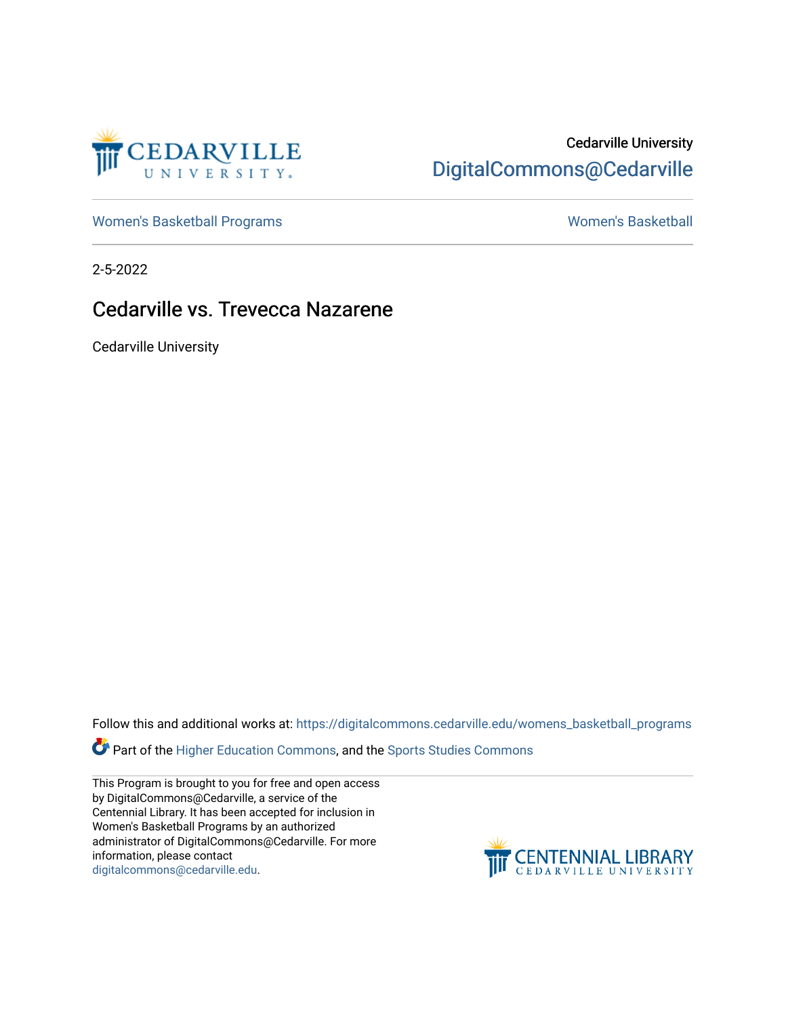

## Cedarville University [DigitalCommons@Cedarville](https://digitalcommons.cedarville.edu/)

[Women's Basketball Programs](https://digitalcommons.cedarville.edu/womens_basketball_programs) North Communication and Momen's Basketball

2-5-2022

## Cedarville vs. Trevecca Nazarene

Cedarville University

Follow this and additional works at: [https://digitalcommons.cedarville.edu/womens\\_basketball\\_programs](https://digitalcommons.cedarville.edu/womens_basketball_programs?utm_source=digitalcommons.cedarville.edu%2Fwomens_basketball_programs%2F521&utm_medium=PDF&utm_campaign=PDFCoverPages)

Part of the [Higher Education Commons,](http://network.bepress.com/hgg/discipline/1245?utm_source=digitalcommons.cedarville.edu%2Fwomens_basketball_programs%2F521&utm_medium=PDF&utm_campaign=PDFCoverPages) and the [Sports Studies Commons](http://network.bepress.com/hgg/discipline/1198?utm_source=digitalcommons.cedarville.edu%2Fwomens_basketball_programs%2F521&utm_medium=PDF&utm_campaign=PDFCoverPages) 

This Program is brought to you for free and open access by DigitalCommons@Cedarville, a service of the Centennial Library. It has been accepted for inclusion in Women's Basketball Programs by an authorized administrator of DigitalCommons@Cedarville. For more information, please contact [digitalcommons@cedarville.edu](mailto:digitalcommons@cedarville.edu).

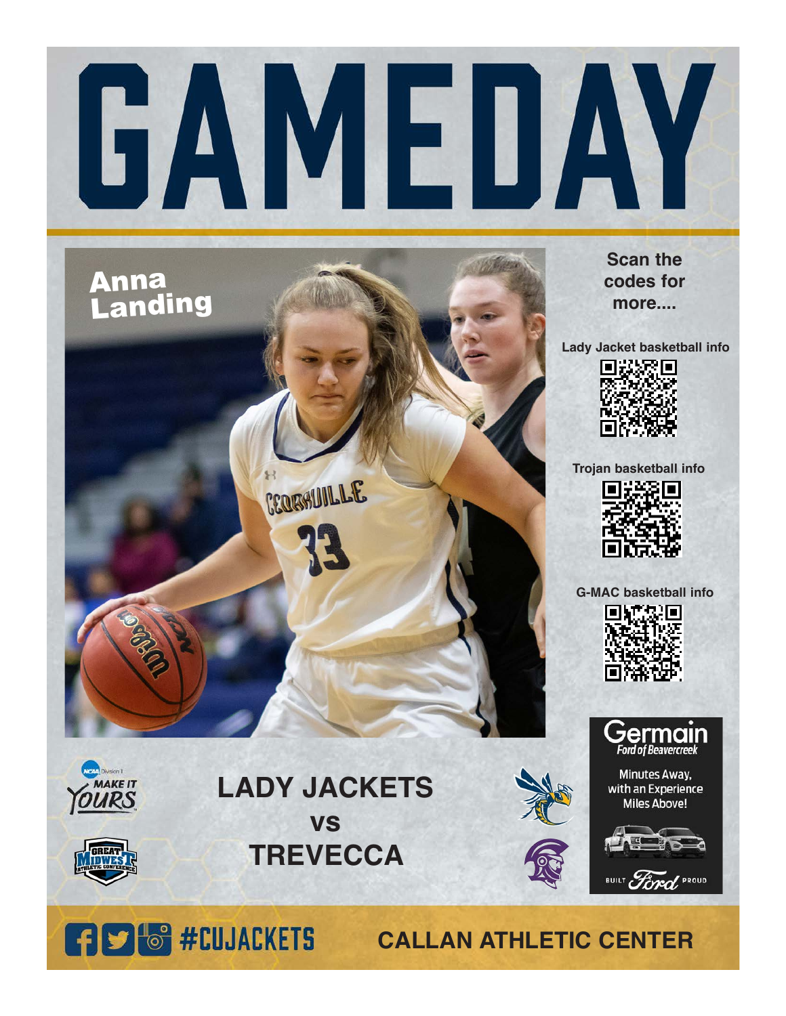

## Anna **Landing** CERESULLLE

**Scan the codes for more....**

**Lady Jacket basketball info**



**Trojan basketball info**



**G-MAC basketball info**





Minutes Away, with an Experience **Miles Above!** 



Division II

**MAKE IT** 

## **LADY JACKETS vs TREVECCA**



BUILT Ford PROUD



**CALLAN ATHLETIC CENTER**